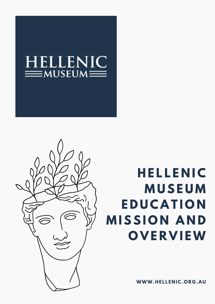

## **H E L L E N I C M U S E U M E D U C A T I O N M I S S I O N A N D O V E R V I EW**

**WWW.HE L L E N IC. O R G .AU**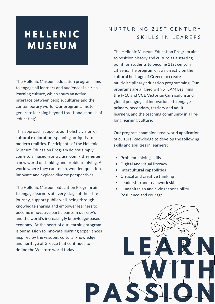### **H E L L E N I C M U S E U M**

The Hellenic Museum education program aims to engage all learners and audiences in a rich learning culture, which spurs an active interface between people, cultures and the contemporary world. Our program aims to generate learning beyond traditional models of 'educating'.

This approach supports our holistic vision of cultural exploration, spanning antiquity to modern realities. Participants of the Hellenic Museum Education Program do not simply come to a museum or a classroom – they enter a new world of thinking and problem solving. A world where they can touch, wonder, question, innovate and explore diverse perspectives.

The Hellenic Museum Education Program aims to engage learners at every stage of their life journey, support public well-being through knowledge sharing and empower learners to become innovative participants in our city's and the world's increasingly knowledge-based economy. At the heart of our learning program is our mission to innovate learning experiences inspired by the wisdom, cultural knowledge and heritage of Greece that continues to define the Western world today.

#### N U R T U R I N G 21S T C E N T U R Y SKILLS IN LEARERS

The Hellenic Museum Education Program aims to position history and culture as a starting point for students to become 21st century citizens. The program draws directly on the cultural heritage of Greece to create multidisciplinary education programming. Our programs are aligned with STEAM Learning, the F-10 and VCE Victorian Curriculum and global pedagogical innovations- to engage primary, secondary, tertiary and adult learners, and the teaching community in a lifelong learning culture.

Our program champions real world application of cultural knowledge to develop the following skills and abilities in learners:

- Problem-solving skills
- Digital and visual literacy
- Intercultural capabilities
- Critical and creative thinking
- Leadership and teamwork skills
- Humanitarian and civic responsibility Resilience and courage

**P A S S I O N**

**L E A R N**

**WI T H**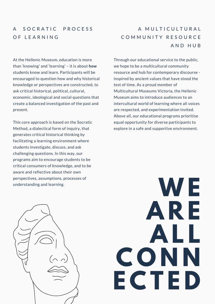#### A SOCRATIC PROCESS OF LEARNING

#### A MULTICULTURAL COMMUNITY RESOURCE A N D H U B

At the Hellenic Museum, education is more than 'knowing' and 'learning' – it is about **how** students know and learn. Participants will be encouraged to question how and why historical knowledge or perspectives are constructed, to ask critical historical, political, cultural, economic, ideological and social questions that create a balanced investigation of the past and present.

This core approach is based on the Socratic Method, a dialectical form of inquiry, that generates critical historical thinking by facilitating a learning environment where students investigate, discuss, and ask challenging questions. In this way, our programs aim to encourage students to be critical consumers of knowledge, and to be aware and reflective about their own perspectives, assumptions, processes of understanding and learning.

Through our educational service to the public, we hope to be a multicultural community resource and hub for contemporary discourse inspired by ancient values that have stood the test of time. As a proud member of Multicultural Museums Victoria, the Hellenic Museum aims to introduce audiences to an intercultural world of learning where all voices are respected, and experimentation invited. Above all, our educational programs prioritise equal opportunity for diverse participants to explore in a safe and supportive environment.